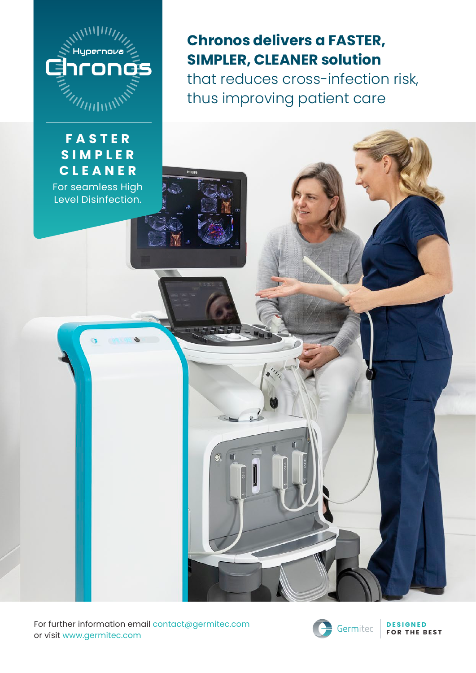

#### **F A S T E R S I M P L E R CLEANER**

For seamless High Level Disinfection.

## **Chronos delivers a FASTER, SIMPLER, CLEANER solution** that reduces cross-infection risk, thus improving patient care

 $\odot$ 

For further information email contact@germitec.com or visit www.germitec.com



**D E S I G N E D FOR THE BEST**